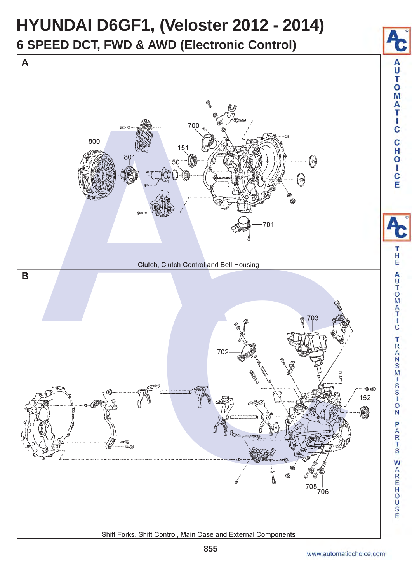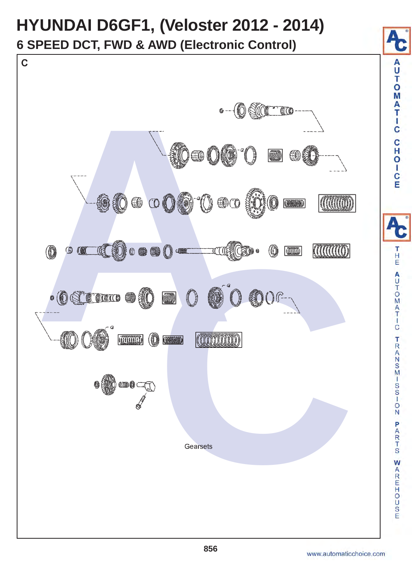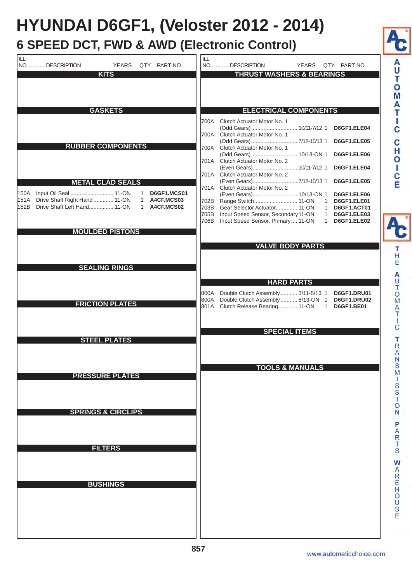## **HYUNDAI D6GF1, (Veloster 2012 - 2014)**

## **6 SPEED DCT, FWD & AWD (Electronic Control)**

| ILL<br>NO. DESCRIPTION<br><b>YEARS</b><br>QTY PART NO<br><b>KITS</b>                                            | ILL<br>NO. DESCRIPTION<br>QTY PART NO<br><b>YEARS</b><br><b>THRUST WASHERS &amp; BEARINGS</b>                                                  |
|-----------------------------------------------------------------------------------------------------------------|------------------------------------------------------------------------------------------------------------------------------------------------|
|                                                                                                                 |                                                                                                                                                |
| <b>GASKETS</b>                                                                                                  | <b>ELECTRICAL COMPONENTS</b>                                                                                                                   |
|                                                                                                                 | 700A Clutch Actuator Motor No. 1                                                                                                               |
|                                                                                                                 | (Odd Gears)  10/11-7/12 1<br>D6GF1.ELE04<br>700A Clutch Actuator Motor No. 1                                                                   |
| <b>RUBBER COMPONENTS</b>                                                                                        | (Odd Gears) 7/12-10/13 1<br>D6GF1.ELE05                                                                                                        |
|                                                                                                                 | Clutch Actuator Motor No. 1<br>700A<br>(Odd Gears)  10/13-ON 1<br>D6GF1.ELE06                                                                  |
|                                                                                                                 | 701A Clutch Actuator Motor No. 2                                                                                                               |
|                                                                                                                 | (Even Gears) 10/11-7/12 1<br>D6GF1.ELE04<br>701A Clutch Actuator Motor No. 2                                                                   |
| <b>METAL CLAD SEALS</b>                                                                                         | (Even Gears) 7/12-10/13 1<br>D6GF1.ELE05                                                                                                       |
| Input Oil Seal  11-ON<br><b>D6GF1.MCS01</b><br>150A                                                             | 701A Clutch Actuator Motor No. 2<br>(Even Gears) 10/13-ON 1<br>D6GF1.ELE06                                                                     |
| Drive Shaft Right Hand  11-ON<br>A4CF.MCS03<br>151A<br>$\mathbf{1}$<br>Drive Shaft Left Hand 11-ON<br>152B<br>1 | Range Switch 11-ON<br>D6GF1.ELE01<br>702B<br>$\mathbf{1}$                                                                                      |
| A4CF.MCS02                                                                                                      | 703B Gear Selector Actuator 11-ON<br>$\mathbf{1}$<br>D6GF1.ACT01<br>705B<br>Input Speed Sensor, Secondary 11-ON<br>D6GF1.ELE03<br>$\mathbf{1}$ |
|                                                                                                                 | Input Speed Sensor, Primary  11-ON<br>D6GF1.ELE02<br>706B<br>$\mathbf{1}$                                                                      |
| <b>MOULDED PISTONS</b>                                                                                          |                                                                                                                                                |
|                                                                                                                 | <b>VALVE BODY PARTS</b>                                                                                                                        |
|                                                                                                                 |                                                                                                                                                |
| <b>SEALING RINGS</b>                                                                                            |                                                                                                                                                |
|                                                                                                                 | <b>HARD PARTS</b>                                                                                                                              |
|                                                                                                                 | Double Clutch Assembly 3/11-5/13 1<br>800A<br>D6GF1.DRU01                                                                                      |
| <b>FRICTION PLATES</b>                                                                                          | 800A Double Clutch Assembly 5/13-ON 1<br>D6GF1.DRU02<br>801A Clutch Release Bearing 11-ON<br><b>D6GF1.BE01</b><br>$\mathbf{1}$                 |
|                                                                                                                 |                                                                                                                                                |
|                                                                                                                 | <b>SPECIAL ITEMS</b>                                                                                                                           |
| <b>STEEL PLATES</b>                                                                                             |                                                                                                                                                |
|                                                                                                                 | <b>TOOLS &amp; MANUALS</b>                                                                                                                     |
| <b>PRESSURE PLATES</b>                                                                                          |                                                                                                                                                |
|                                                                                                                 |                                                                                                                                                |
|                                                                                                                 |                                                                                                                                                |
| <b>SPRINGS &amp; CIRCLIPS</b>                                                                                   |                                                                                                                                                |
|                                                                                                                 |                                                                                                                                                |
|                                                                                                                 |                                                                                                                                                |
| <b>FILTERS</b>                                                                                                  |                                                                                                                                                |
|                                                                                                                 |                                                                                                                                                |
|                                                                                                                 |                                                                                                                                                |
|                                                                                                                 |                                                                                                                                                |
|                                                                                                                 |                                                                                                                                                |
| <b>BUSHINGS</b>                                                                                                 |                                                                                                                                                |
|                                                                                                                 |                                                                                                                                                |
|                                                                                                                 |                                                                                                                                                |
|                                                                                                                 |                                                                                                                                                |